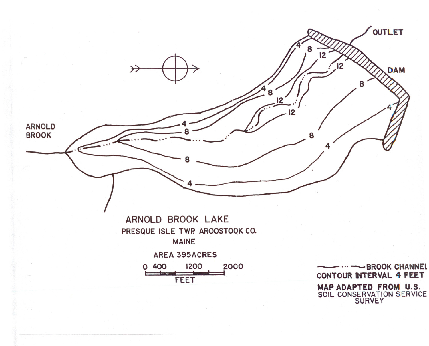